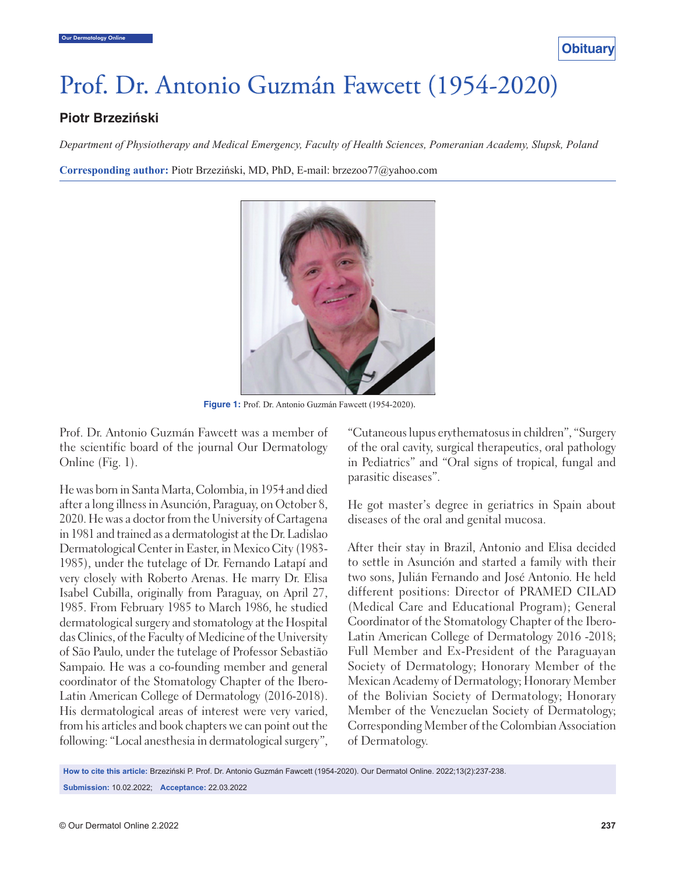

## Prof. Dr. Antonio Guzmán Fawcett (1954-2020)

## **Piotr Brzeziński**

*Department of Physiotherapy and Medical Emergency, Faculty of Health Sciences, Pomeranian Academy, Slupsk, Poland*

**Corresponding author:** Piotr Brzeziński, MD, PhD, E-mail: brzezoo77@yahoo.com



**Figure 1:** Prof. Dr. Antonio Guzmán Fawcett (1954-2020).

Prof. Dr. Antonio Guzmán Fawcett was a member of the scientific board of the journal Our Dermatology Online (Fig. 1).

He was born in Santa Marta, Colombia, in 1954 and died after a long illness in Asunción, Paraguay, on October 8, 2020. He was a doctor from the University of Cartagena in 1981 and trained as a dermatologist at the Dr. Ladislao Dermatological Center in Easter, in Mexico City (1983- 1985), under the tutelage of Dr. Fernando Latapí and very closely with Roberto Arenas. He marry Dr. Elisa Isabel Cubilla, originally from Paraguay, on April 27, 1985. From February 1985 to March 1986, he studied dermatological surgery and stomatology at the Hospital das Clinics, of the Faculty of Medicine of the University of São Paulo, under the tutelage of Professor Sebastião Sampaio. He was a co-founding member and general coordinator of the Stomatology Chapter of the Ibero-Latin American College of Dermatology (2016-2018). His dermatological areas of interest were very varied, from his articles and book chapters we can point out the following: "Local anesthesia in dermatological surgery", "Cutaneous lupus erythematosus in children", "Surgery of the oral cavity, surgical therapeutics, oral pathology in Pediatrics" and "Oral signs of tropical, fungal and parasitic diseases".

He got master's degree in geriatrics in Spain about diseases of the oral and genital mucosa.

After their stay in Brazil, Antonio and Elisa decided to settle in Asunción and started a family with their two sons, Julián Fernando and José Antonio. He held different positions: Director of PRAMED CILAD (Medical Care and Educational Program); General Coordinator of the Stomatology Chapter of the Ibero-Latin American College of Dermatology 2016 -2018; Full Member and Ex-President of the Paraguayan Society of Dermatology; Honorary Member of the Mexican Academy of Dermatology; Honorary Member of the Bolivian Society of Dermatology; Honorary Member of the Venezuelan Society of Dermatology; Corresponding Member of the Colombian Association of Dermatology.

**How to cite this article:** Brzeziński P. Prof. Dr. Antonio Guzmán Fawcett (1954-2020). Our Dermatol Online. 2022;13(2):237-238.

**Submission:** 10.02.2022; **Acceptance:** 22.03.2022